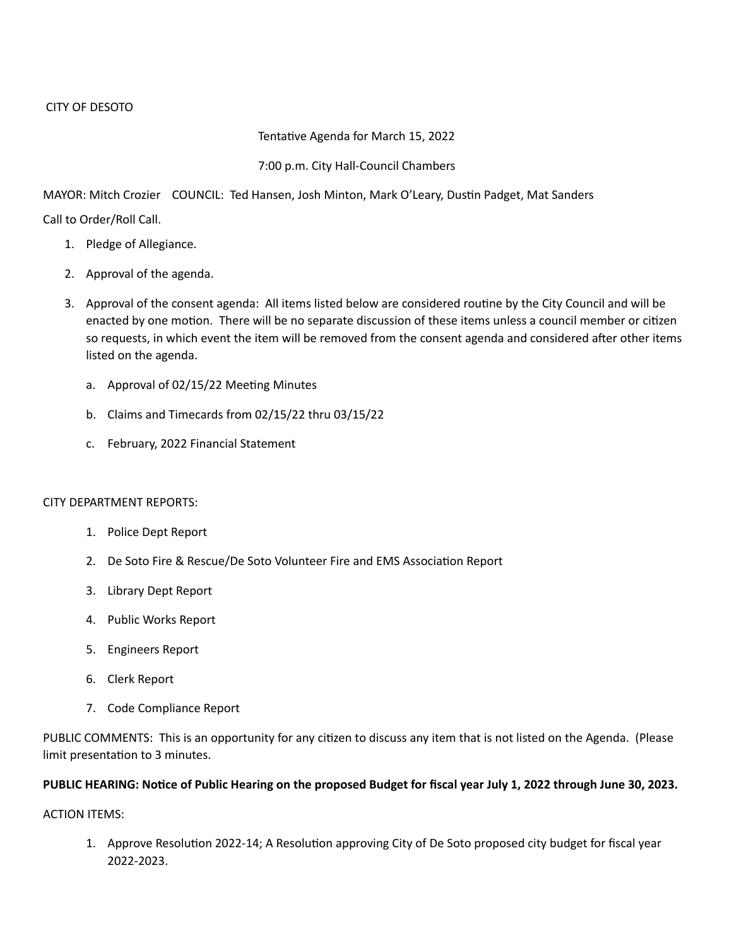## Tentative Agenda for March 15, 2022

## 7:00 p.m. City Hall-Council Chambers

MAYOR: Mitch Crozier COUNCIL: Ted Hansen, Josh Minton, Mark O'Leary, Dustin Padget, Mat Sanders

Call to Order/Roll Call.

- 1. Pledge of Allegiance.
- 2. Approval of the agenda.
- 3. Approval of the consent agenda: All items listed below are considered routine by the City Council and will be enacted by one motion. There will be no separate discussion of these items unless a council member or citizen so requests, in which event the item will be removed from the consent agenda and considered after other items listed on the agenda.
	- a. Approval of 02/15/22 Meeting Minutes
	- b. Claims and Timecards from 02/15/22 thru 03/15/22
	- c. February, 2022 Financial Statement

# CITY DEPARTMENT REPORTS:

- 1. Police Dept Report
- 2. De Soto Fire & Rescue/De Soto Volunteer Fire and EMS Association Report
- 3. Library Dept Report
- 4. Public Works Report
- 5. Engineers Report
- 6. Clerk Report
- 7. Code Compliance Report

PUBLIC COMMENTS: This is an opportunity for any citizen to discuss any item that is not listed on the Agenda. (Please limit presentation to 3 minutes.

# **PUBLIC HEARING: Notice of Public Hearing on the proposed Budget for fiscal year July 1, 2022 through June 30, 2023.**

ACTION ITEMS:

1. Approve Resolution 2022-14; A Resolution approving City of De Soto proposed city budget for fiscal year 2022-2023.